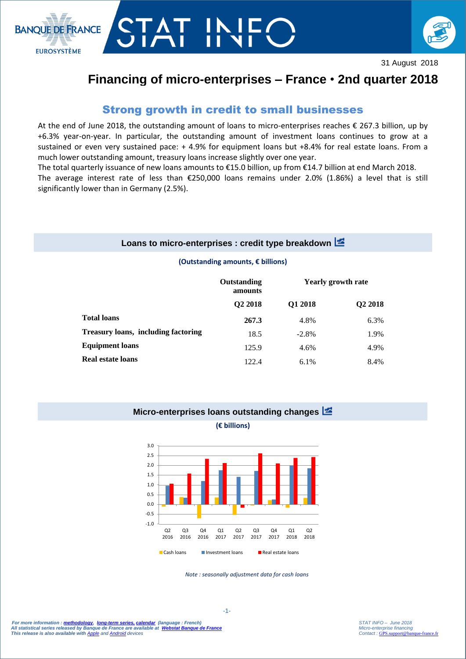

# r II



31 August 2018

# **Financing of micro-enterprises – France** • **2nd quarter 2018**

# Strong growth in credit to small businesses

At the end of June 2018, the outstanding amount of loans to micro-enterprises reaches € 267.3 billion, up by +6.3% year-on-year. In particular, the outstanding amount of investment loans continues to grow at a sustained or even very sustained pace: + 4.9% for equipment loans but +8.4% for real estate loans. From a much lower outstanding amount, treasury loans increase slightly over one year.

The total quarterly issuance of new loans amounts to €15.0 billion, up from €14.7 billion at end March 2018.

The average interest rate of less than €250,000 loans remains under 2.0% (1.86%) a level that is still significantly lower than in Germany (2.5%).

### **Loans to micro-enterprises : credit type breakdown**

#### **(Outstanding amounts, € billions)**

|                                     | Outstanding<br>amounts<br>Q <sub>2</sub> 2018 | <b>Yearly growth rate</b> |                     |
|-------------------------------------|-----------------------------------------------|---------------------------|---------------------|
|                                     |                                               | Q1 2018                   | Q <sub>2</sub> 2018 |
| <b>Total loans</b>                  | 267.3                                         | 4.8%                      | 6.3%                |
| Treasury loans, including factoring | 18.5                                          | $-2.8\%$                  | 1.9%                |
| <b>Equipment loans</b>              | 125.9                                         | 4.6%                      | 4.9%                |
| <b>Real estate loans</b>            | 122.4                                         | 6.1%                      | 8.4%                |

#### **Micro-enterprises loans outstanding changes**

**(€ billions)**



*Note : seasonally adjustment data for cash loans*